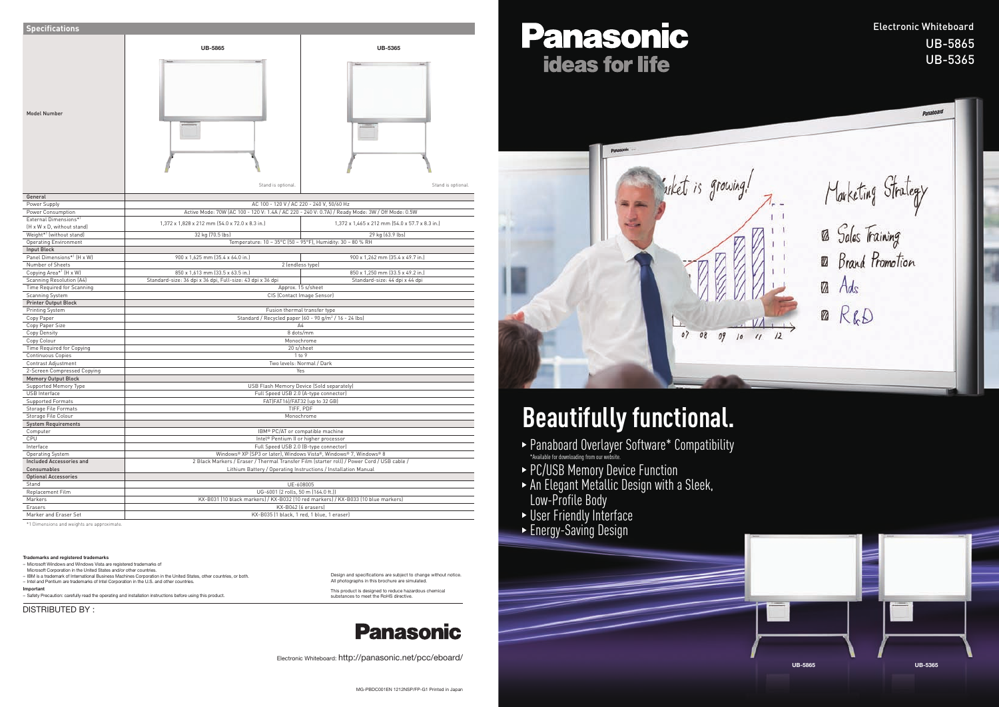\*1 Dimensions and weights are approximate.

– Safety Precaution: carefully read the operating and installation instructions before using this product. **Important** This product is designed to reduce hazardous chemical<br>- Safety Precaution: carefully read the operating and installation instructions before using this product. **A substances to meet the RoHS directive**.

| <b>Specifications</b>                              |                                                                                                                                               |                                                |
|----------------------------------------------------|-----------------------------------------------------------------------------------------------------------------------------------------------|------------------------------------------------|
|                                                    |                                                                                                                                               |                                                |
| Model Number                                       | <b>UB-5865</b>                                                                                                                                | <b>UB-5365</b>                                 |
|                                                    | Stand is optional.                                                                                                                            | Stand is optional.                             |
| General                                            |                                                                                                                                               |                                                |
| Power Supply                                       | AC 100 - 120 V / AC 220 - 240 V, 50/60 Hz<br>Active Mode: 70W (AC 100 - 120 V: 1.4A / AC 220 - 240 V: 0.7A) / Ready Mode: 3W / Off Mode: 0.5W |                                                |
| Power Consumption<br>External Dimensions*1         |                                                                                                                                               |                                                |
| (H x W x D, without stand)                         | 1,372 x 1,828 x 212 mm (54.0 x 72.0 x 8.3 in.)                                                                                                | 1,372 x 1,465 x 212 mm (54.0 x 57.7 x 8.3 in.) |
| Weight*1 (without stand)                           | 32 kg (70.5 lbs)                                                                                                                              | 29 kg (63.9 lbs)                               |
| <b>Operating Environment</b>                       | Temperature: 10 - 35°C (50 - 95°F), Humidity: 30 - 80 % RH                                                                                    |                                                |
| <b>Input Block</b>                                 |                                                                                                                                               |                                                |
| Panel Dimensions*1 (H x W)                         | 900 x 1,625 mm (35.4 x 64.0 in.)                                                                                                              | 900 x 1,262 mm (35.4 x 49.7 in.)               |
| Number of Sheets                                   | 2 (endless type)                                                                                                                              |                                                |
| Copying Area <sup>*1</sup> [H x W]                 | 850 x 1,613 mm (33.5 x 63.5 in.)<br>850 x 1,250 mm (33.5 x 49.2 in.)                                                                          |                                                |
| <b>Scanning Resolution (A4)</b>                    | Standard-size: 36 dpi x 36 dpi, Full-size: 43 dpi x 36 dpi                                                                                    | Standard-size: 44 dpi x 44 dpi                 |
| Time Required for Scanning                         | Approx. 15 s/sheet                                                                                                                            |                                                |
| <b>Scanning System</b>                             | CIS (Contact Image Sensor)                                                                                                                    |                                                |
| <b>Printer Output Block</b>                        |                                                                                                                                               |                                                |
| Printing System<br>Copy Paper                      | Fusion thermal transfer type<br>Standard / Recycled paper (60 - 90 g/m <sup>2</sup> / 16 - 24 lbs)                                            |                                                |
| Copy Paper Size                                    | A4                                                                                                                                            |                                                |
| <b>Copy Density</b>                                | 8 dots/mm                                                                                                                                     |                                                |
| Copy Colour                                        | Monochrome                                                                                                                                    |                                                |
| Time Required for Copying                          | 20 s/sheet                                                                                                                                    |                                                |
| <b>Continuous Copies</b>                           | 1 to 9                                                                                                                                        |                                                |
| Contrast Adjustment                                | Two levels: Normal / Dark                                                                                                                     |                                                |
| 2-Screen Compressed Copying                        | Yes                                                                                                                                           |                                                |
| <b>Memory Output Block</b>                         |                                                                                                                                               |                                                |
| <b>Supported Memory Type</b>                       | USB Flash Memory Device (Sold separately)                                                                                                     |                                                |
| <b>USB</b> Interface                               | Full Speed USB 2.0 (A-type connector)                                                                                                         |                                                |
| <b>Supported Formats</b>                           | FAT(FAT16)/FAT32 (up to 32 GB)                                                                                                                |                                                |
| <b>Storage File Formats</b><br>Storage File Colour | TIFF, PDF<br>Monochrome                                                                                                                       |                                                |
| <b>System Requirements</b>                         |                                                                                                                                               |                                                |
| Computer                                           | IBM <sup>®</sup> PC/AT or compatible machine                                                                                                  |                                                |
| CPU                                                | Intel® Pentium II or higher processor                                                                                                         |                                                |
| Interface                                          | Full Speed USB 2.0 (B-type connector)                                                                                                         |                                                |
| <b>Operating System</b>                            | Windows® XP (SP3 or later), Windows Vista®, Windows® 7, Windows® 8                                                                            |                                                |
| <b>Included Accessories and</b>                    | 2 Black Markers / Eraser / Thermal Transfer Film (starter roll) / Power Cord / USB cable /                                                    |                                                |
| Consumables                                        | Lithium Battery / Operating Instructions / Installation Manual                                                                                |                                                |
| <b>Optional Accessories</b>                        |                                                                                                                                               |                                                |
| Stand                                              | UE-608005                                                                                                                                     |                                                |
| Replacement Film                                   | UG-6001 (2 rolls, 50 m (164.0 ft.))                                                                                                           |                                                |
| Markers                                            | KX-B031 (10 black markers) / KX-B032 (10 red markers) / KX-B033 (10 blue markers)                                                             |                                                |
| Erasers                                            | KX-B042 (6 erasers)                                                                                                                           |                                                |
| Marker and Eraser Set                              | KX-B035 (1 black, 1 red, 1 blue, 1 eraser)                                                                                                    |                                                |

# **Beautifully functional.**

- Panaboard Overlayer Software\* Compatibility \*Available for downloading from our website.
- PC/USB Memory Device Function
- An Elegant Metallic Design with a Sleek, Low-Profile Body
- User Friendly Interface
- Energy-Saving Design



#### Electronic Whiteboard UB-5865UB-5365

Marketing Strategy<br>12 Sales Training Brand Promotion ₩ Ads  $\mathbf Z$ **2** R&D  $\prime\prime$ 

DISTRIBUTED BY :

– Microsoft Windows and Windows Vista are registered trademarks of Microsoft Corporation in the United States and/or other countries. – IBM is a trademark of International Business Machines Corporation in the United States, other countries, or both. – Intel and Pentium are trademarks of Intel Corporation in the U.S. and other countries.

#### **Trademarks and registered trademarks**

Design and specifications are subject to change without notice. All photographs in this brochure are simulated.

### **Panasonic**

MG-PBDC001EN 1212NSP/FP-G1 Printed in Japan

## Panasonic **ideas for life**



Electronic Whiteboard: http://panasonic.net/pcc/eboard/